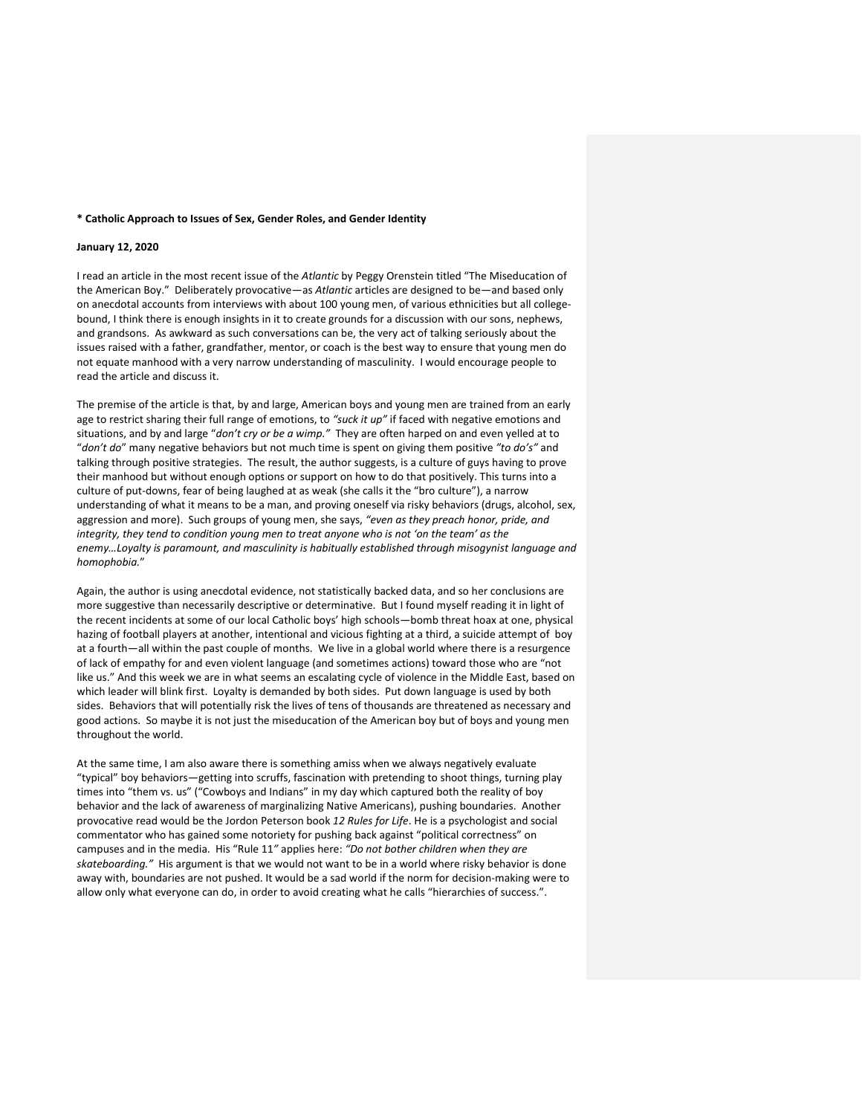#### **\* Catholic Approach to Issues of Sex, Gender Roles, and Gender Identity**

#### **January 12, 2020**

I read an article in the most recent issue of the *Atlantic* by Peggy Orenstein titled "The Miseducation of the American Boy." Deliberately provocative—as *Atlantic* articles are designed to be—and based only on anecdotal accounts from interviews with about 100 young men, of various ethnicities but all collegebound, I think there is enough insights in it to create grounds for a discussion with our sons, nephews, and grandsons. As awkward as such conversations can be, the very act of talking seriously about the issues raised with a father, grandfather, mentor, or coach is the best way to ensure that young men do not equate manhood with a very narrow understanding of masculinity. I would encourage people to read the article and discuss it.

The premise of the article is that, by and large, American boys and young men are trained from an early age to restrict sharing their full range of emotions, to *"suck it up"* if faced with negative emotions and situations, and by and large "*don't cry or be a wimp."* They are often harped on and even yelled at to "*don't do*" many negative behaviors but not much time is spent on giving them positive *"to do's"* and talking through positive strategies. The result, the author suggests, is a culture of guys having to prove their manhood but without enough options or support on how to do that positively. This turns into a culture of put-downs, fear of being laughed at as weak (she calls it the "bro culture"), a narrow understanding of what it means to be a man, and proving oneself via risky behaviors (drugs, alcohol, sex, aggression and more). Such groups of young men, she says, *"even as they preach honor, pride, and integrity, they tend to condition young men to treat anyone who is not 'on the team' as the enemy…Loyalty is paramount, and masculinity is habitually established through misogynist language and homophobia.*"

Again, the author is using anecdotal evidence, not statistically backed data, and so her conclusions are more suggestive than necessarily descriptive or determinative. But I found myself reading it in light of the recent incidents at some of our local Catholic boys' high schools—bomb threat hoax at one, physical hazing of football players at another, intentional and vicious fighting at a third, a suicide attempt of boy at a fourth—all within the past couple of months. We live in a global world where there is a resurgence of lack of empathy for and even violent language (and sometimes actions) toward those who are "not like us." And this week we are in what seems an escalating cycle of violence in the Middle East, based on which leader will blink first. Loyalty is demanded by both sides. Put down language is used by both sides. Behaviors that will potentially risk the lives of tens of thousands are threatened as necessary and good actions. So maybe it is not just the miseducation of the American boy but of boys and young men throughout the world.

At the same time, I am also aware there is something amiss when we always negatively evaluate "typical" boy behaviors—getting into scruffs, fascination with pretending to shoot things, turning play times into "them vs. us" ("Cowboys and Indians" in my day which captured both the reality of boy behavior and the lack of awareness of marginalizing Native Americans), pushing boundaries. Another provocative read would be the Jordon Peterson book *12 Rules for Life*. He is a psychologist and social commentator who has gained some notoriety for pushing back against "political correctness" on campuses and in the media. His "Rule 11*"* applies here: *"Do not bother children when they are skateboarding."* His argument is that we would not want to be in a world where risky behavior is done away with, boundaries are not pushed. It would be a sad world if the norm for decision-making were to allow only what everyone can do, in order to avoid creating what he calls "hierarchies of success.".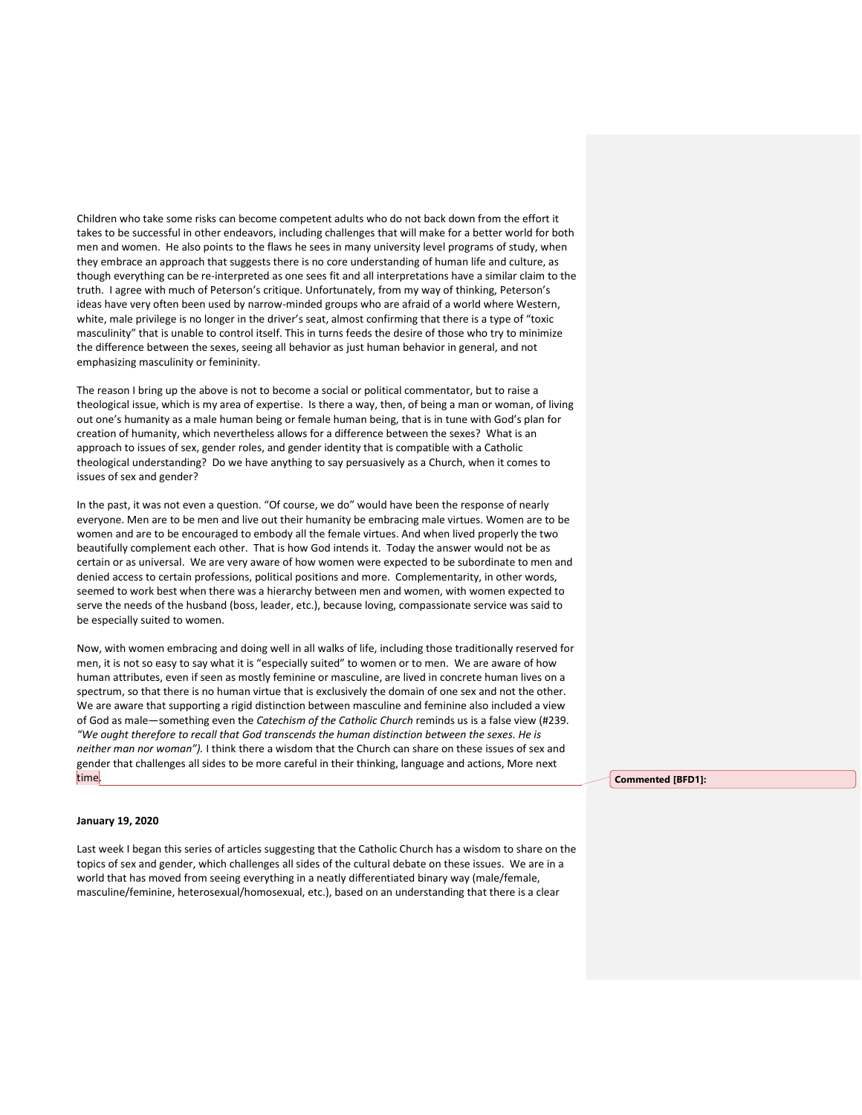Children who take some risks can become competent adults who do not back down from the effort it takes to be successful in other endeavors, including challenges that will make for a better world for both men and women. He also points to the flaws he sees in many university level programs of study, when they embrace an approach that suggests there is no core understanding of human life and culture, as though everything can be re-interpreted as one sees fit and all interpretations have a similar claim to the truth. I agree with much of Peterson's critique. Unfortunately, from my way of thinking, Peterson's ideas have very often been used by narrow-minded groups who are afraid of a world where Western, white, male privilege is no longer in the driver's seat, almost confirming that there is a type of "toxic masculinity" that is unable to control itself. This in turns feeds the desire of those who try to minimize the difference between the sexes, seeing all behavior as just human behavior in general, and not emphasizing masculinity or femininity.

The reason I bring up the above is not to become a social or political commentator, but to raise a theological issue, which is my area of expertise. Is there a way, then, of being a man or woman, of living out one's humanity as a male human being or female human being, that is in tune with God's plan for creation of humanity, which nevertheless allows for a difference between the sexes? What is an approach to issues of sex, gender roles, and gender identity that is compatible with a Catholic theological understanding? Do we have anything to say persuasively as a Church, when it comes to issues of sex and gender?

In the past, it was not even a question. "Of course, we do" would have been the response of nearly everyone. Men are to be men and live out their humanity be embracing male virtues. Women are to be women and are to be encouraged to embody all the female virtues. And when lived properly the two beautifully complement each other. That is how God intends it. Today the answer would not be as certain or as universal. We are very aware of how women were expected to be subordinate to men and denied access to certain professions, political positions and more. Complementarity, in other words, seemed to work best when there was a hierarchy between men and women, with women expected to serve the needs of the husband (boss, leader, etc.), because loving, compassionate service was said to be especially suited to women.

Now, with women embracing and doing well in all walks of life, including those traditionally reserved for men, it is not so easy to say what it is "especially suited" to women or to men. We are aware of how human attributes, even if seen as mostly feminine or masculine, are lived in concrete human lives on a spectrum, so that there is no human virtue that is exclusively the domain of one sex and not the other. We are aware that supporting a rigid distinction between masculine and feminine also included a view of God as male—something even the *Catechism of the Catholic Church* reminds us is a false view (#239. *"We ought therefore to recall that God transcends the human distinction between the sexes. He is neither man nor woman").* I think there a wisdom that the Church can share on these issues of sex and gender that challenges all sides to be more careful in their thinking, language and actions, More next time.

#### **January 19, 2020**

Last week I began this series of articles suggesting that the Catholic Church has a wisdom to share on the topics of sex and gender, which challenges all sides of the cultural debate on these issues. We are in a world that has moved from seeing everything in a neatly differentiated binary way (male/female, masculine/feminine, heterosexual/homosexual, etc.), based on an understanding that there is a clear

**Commented [BFD1]:**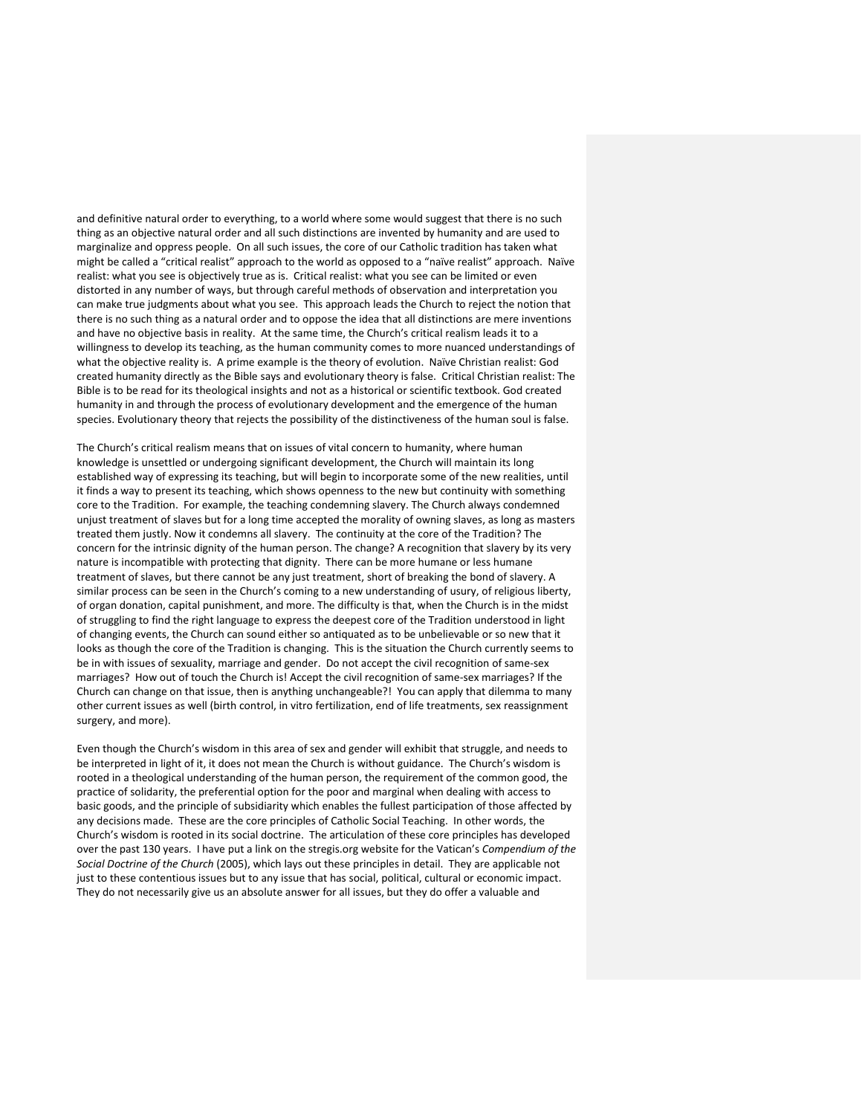and definitive natural order to everything, to a world where some would suggest that there is no such thing as an objective natural order and all such distinctions are invented by humanity and are used to marginalize and oppress people. On all such issues, the core of our Catholic tradition has taken what might be called a "critical realist" approach to the world as opposed to a "naïve realist" approach. Naïve realist: what you see is objectively true as is. Critical realist: what you see can be limited or even distorted in any number of ways, but through careful methods of observation and interpretation you can make true judgments about what you see. This approach leads the Church to reject the notion that there is no such thing as a natural order and to oppose the idea that all distinctions are mere inventions and have no objective basis in reality. At the same time, the Church's critical realism leads it to a willingness to develop its teaching, as the human community comes to more nuanced understandings of what the objective reality is. A prime example is the theory of evolution. Naïve Christian realist: God created humanity directly as the Bible says and evolutionary theory is false. Critical Christian realist: The Bible is to be read for its theological insights and not as a historical or scientific textbook. God created humanity in and through the process of evolutionary development and the emergence of the human species. Evolutionary theory that rejects the possibility of the distinctiveness of the human soul is false.

The Church's critical realism means that on issues of vital concern to humanity, where human knowledge is unsettled or undergoing significant development, the Church will maintain its long established way of expressing its teaching, but will begin to incorporate some of the new realities, until it finds a way to present its teaching, which shows openness to the new but continuity with something core to the Tradition. For example, the teaching condemning slavery. The Church always condemned unjust treatment of slaves but for a long time accepted the morality of owning slaves, as long as masters treated them justly. Now it condemns all slavery. The continuity at the core of the Tradition? The concern for the intrinsic dignity of the human person. The change? A recognition that slavery by its very nature is incompatible with protecting that dignity. There can be more humane or less humane treatment of slaves, but there cannot be any just treatment, short of breaking the bond of slavery. A similar process can be seen in the Church's coming to a new understanding of usury, of religious liberty, of organ donation, capital punishment, and more. The difficulty is that, when the Church is in the midst of struggling to find the right language to express the deepest core of the Tradition understood in light of changing events, the Church can sound either so antiquated as to be unbelievable or so new that it looks as though the core of the Tradition is changing. This is the situation the Church currently seems to be in with issues of sexuality, marriage and gender. Do not accept the civil recognition of same-sex marriages? How out of touch the Church is! Accept the civil recognition of same-sex marriages? If the Church can change on that issue, then is anything unchangeable?! You can apply that dilemma to many other current issues as well (birth control, in vitro fertilization, end of life treatments, sex reassignment surgery, and more).

Even though the Church's wisdom in this area of sex and gender will exhibit that struggle, and needs to be interpreted in light of it, it does not mean the Church is without guidance. The Church's wisdom is rooted in a theological understanding of the human person, the requirement of the common good, the practice of solidarity, the preferential option for the poor and marginal when dealing with access to basic goods, and the principle of subsidiarity which enables the fullest participation of those affected by any decisions made. These are the core principles of Catholic Social Teaching. In other words, the Church's wisdom is rooted in its social doctrine. The articulation of these core principles has developed over the past 130 years. I have put a link on the stregis.org website for the Vatican's *Compendium of the Social Doctrine of the Church* (2005), which lays out these principles in detail. They are applicable not just to these contentious issues but to any issue that has social, political, cultural or economic impact. They do not necessarily give us an absolute answer for all issues, but they do offer a valuable and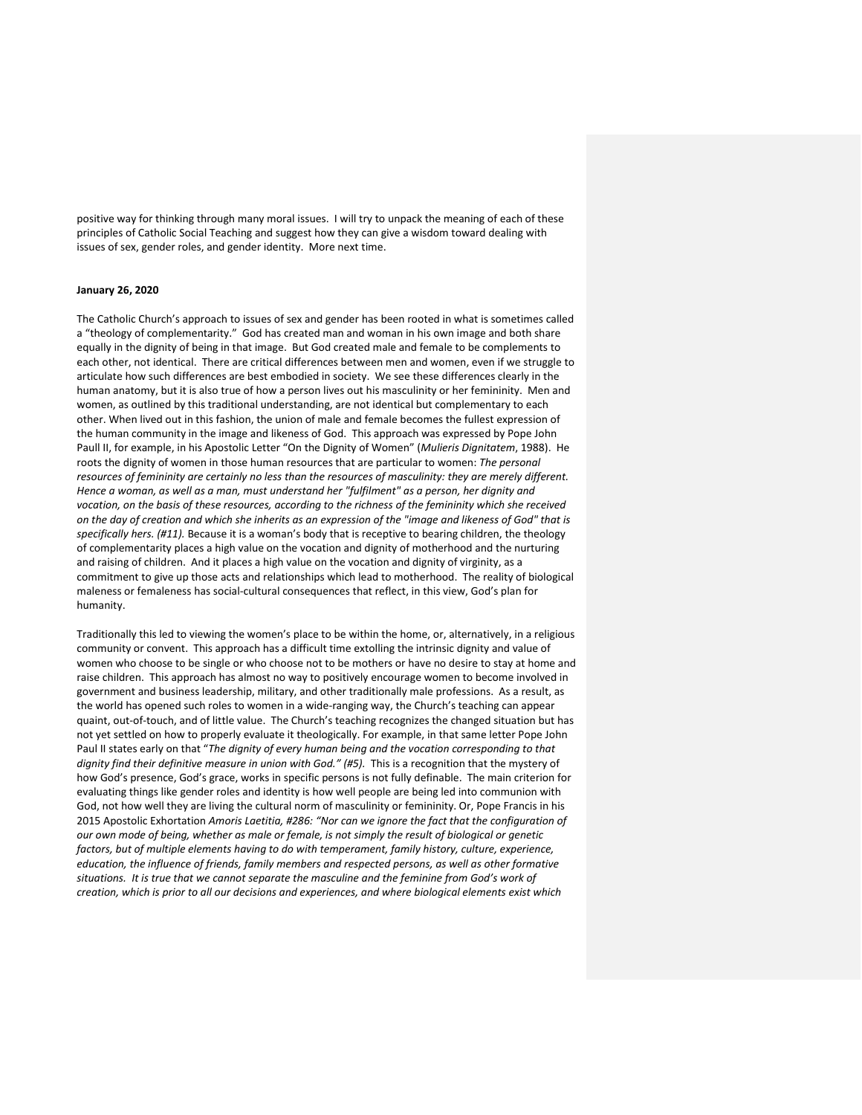positive way for thinking through many moral issues. I will try to unpack the meaning of each of these principles of Catholic Social Teaching and suggest how they can give a wisdom toward dealing with issues of sex, gender roles, and gender identity. More next time.

### **January 26, 2020**

The Catholic Church's approach to issues of sex and gender has been rooted in what is sometimes called a "theology of complementarity." God has created man and woman in his own image and both share equally in the dignity of being in that image. But God created male and female to be complements to each other, not identical. There are critical differences between men and women, even if we struggle to articulate how such differences are best embodied in society. We see these differences clearly in the human anatomy, but it is also true of how a person lives out his masculinity or her femininity. Men and women, as outlined by this traditional understanding, are not identical but complementary to each other. When lived out in this fashion, the union of male and female becomes the fullest expression of the human community in the image and likeness of God. This approach was expressed by Pope John Paull II, for example, in his Apostolic Letter "On the Dignity of Women" (*Mulieris Dignitatem*, 1988). He roots the dignity of women in those human resources that are particular to women: *The personal resources of femininity are certainly no less than the resources of masculinity: they are merely different. Hence a woman, as well as a man, must understand her "fulfilment" as a person, her dignity and vocation, on the basis of these resources, according to the richness of the femininity which she received on the day of creation and which she inherits as an expression of the "image and likeness of God" that is specifically hers. (#11).* Because it is a woman's body that is receptive to bearing children, the theology of complementarity places a high value on the vocation and dignity of motherhood and the nurturing and raising of children. And it places a high value on the vocation and dignity of virginity, as a commitment to give up those acts and relationships which lead to motherhood. The reality of biological maleness or femaleness has social-cultural consequences that reflect, in this view, God's plan for humanity.

Traditionally this led to viewing the women's place to be within the home, or, alternatively, in a religious community or convent. This approach has a difficult time extolling the intrinsic dignity and value of women who choose to be single or who choose not to be mothers or have no desire to stay at home and raise children. This approach has almost no way to positively encourage women to become involved in government and business leadership, military, and other traditionally male professions. As a result, as the world has opened such roles to women in a wide-ranging way, the Church's teaching can appear quaint, out-of-touch, and of little value. The Church's teaching recognizes the changed situation but has not yet settled on how to properly evaluate it theologically. For example, in that same letter Pope John Paul II states early on that "*The dignity of every human being and the vocation corresponding to that dignity find their definitive measure in union with God." (#5).* This is a recognition that the mystery of how God's presence, God's grace, works in specific persons is not fully definable. The main criterion for evaluating things like gender roles and identity is how well people are being led into communion with God, not how well they are living the cultural norm of masculinity or femininity. Or, Pope Francis in his 2015 Apostolic Exhortation *Amoris Laetitia, #286: "Nor can we ignore the fact that the configuration of our own mode of being, whether as male or female, is not simply the result of biological or genetic factors, but of multiple elements having to do with temperament, family history, culture, experience, education, the influence of friends, family members and respected persons, as well as other formative situations. It is true that we cannot separate the masculine and the feminine from God's work of creation, which is prior to all our decisions and experiences, and where biological elements exist which*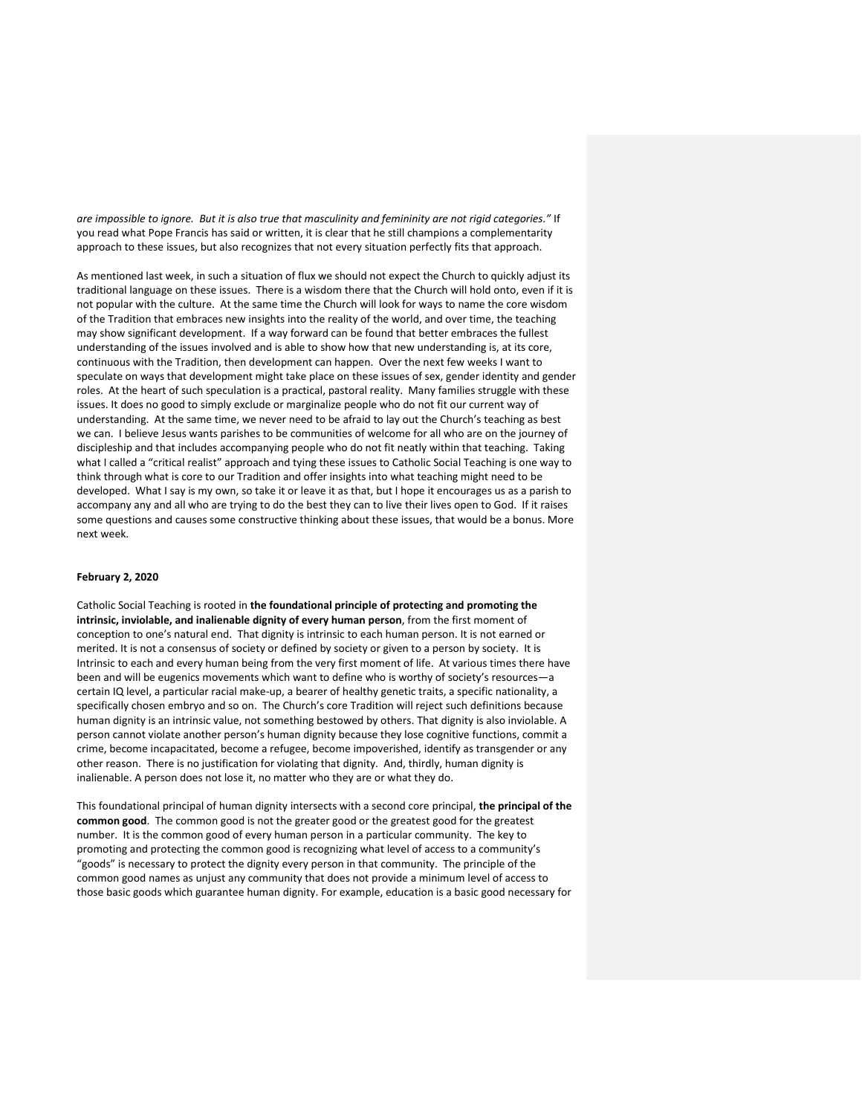*are impossible to ignore. But it is also true that masculinity and femininity are not rigid categories."* If you read what Pope Francis has said or written, it is clear that he still champions a complementarity approach to these issues, but also recognizes that not every situation perfectly fits that approach.

As mentioned last week, in such a situation of flux we should not expect the Church to quickly adjust its traditional language on these issues. There is a wisdom there that the Church will hold onto, even if it is not popular with the culture. At the same time the Church will look for ways to name the core wisdom of the Tradition that embraces new insights into the reality of the world, and over time, the teaching may show significant development. If a way forward can be found that better embraces the fullest understanding of the issues involved and is able to show how that new understanding is, at its core, continuous with the Tradition, then development can happen. Over the next few weeks I want to speculate on ways that development might take place on these issues of sex, gender identity and gender roles. At the heart of such speculation is a practical, pastoral reality. Many families struggle with these issues. It does no good to simply exclude or marginalize people who do not fit our current way of understanding. At the same time, we never need to be afraid to lay out the Church's teaching as best we can. I believe Jesus wants parishes to be communities of welcome for all who are on the journey of discipleship and that includes accompanying people who do not fit neatly within that teaching. Taking what I called a "critical realist" approach and tying these issues to Catholic Social Teaching is one way to think through what is core to our Tradition and offer insights into what teaching might need to be developed. What I say is my own, so take it or leave it as that, but I hope it encourages us as a parish to accompany any and all who are trying to do the best they can to live their lives open to God. If it raises some questions and causes some constructive thinking about these issues, that would be a bonus. More next week.

## **February 2, 2020**

Catholic Social Teaching is rooted in **the foundational principle of protecting and promoting the intrinsic, inviolable, and inalienable dignity of every human person**, from the first moment of conception to one's natural end. That dignity is intrinsic to each human person. It is not earned or merited. It is not a consensus of society or defined by society or given to a person by society. It is Intrinsic to each and every human being from the very first moment of life. At various times there have been and will be eugenics movements which want to define who is worthy of society's resources—a certain IQ level, a particular racial make-up, a bearer of healthy genetic traits, a specific nationality, a specifically chosen embryo and so on. The Church's core Tradition will reject such definitions because human dignity is an intrinsic value, not something bestowed by others. That dignity is also inviolable. A person cannot violate another person's human dignity because they lose cognitive functions, commit a crime, become incapacitated, become a refugee, become impoverished, identify as transgender or any other reason. There is no justification for violating that dignity. And, thirdly, human dignity is inalienable. A person does not lose it, no matter who they are or what they do.

This foundational principal of human dignity intersects with a second core principal, **the principal of the common good**. The common good is not the greater good or the greatest good for the greatest number. It is the common good of every human person in a particular community. The key to promoting and protecting the common good is recognizing what level of access to a community's "goods" is necessary to protect the dignity every person in that community. The principle of the common good names as unjust any community that does not provide a minimum level of access to those basic goods which guarantee human dignity. For example, education is a basic good necessary for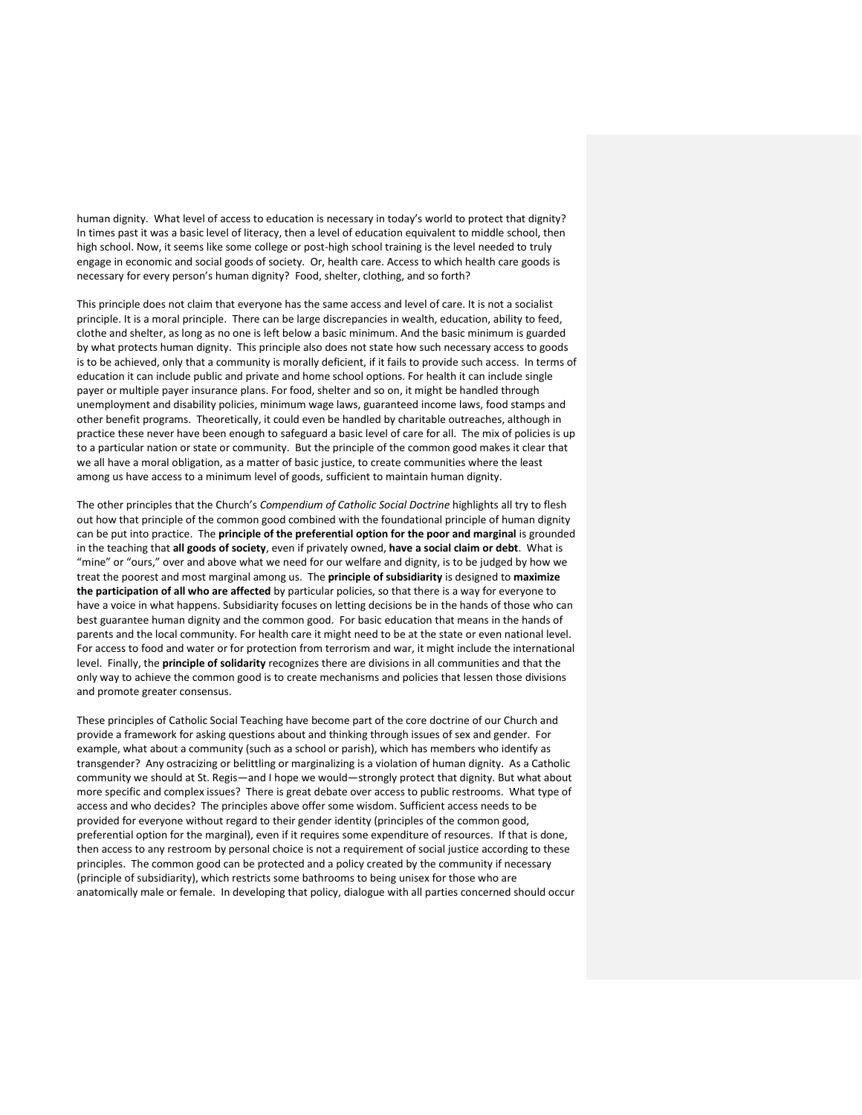human dignity. What level of access to education is necessary in today's world to protect that dignity? In times past it was a basic level of literacy, then a level of education equivalent to middle school, then high school. Now, it seems like some college or post-high school training is the level needed to truly engage in economic and social goods of society. Or, health care. Access to which health care goods is necessary for every person's human dignity? Food, shelter, clothing, and so forth?

This principle does not claim that everyone has the same access and level of care. It is not a socialist principle. It is a moral principle. There can be large discrepancies in wealth, education, ability to feed, clothe and shelter, as long as no one is left below a basic minimum. And the basic minimum is guarded by what protects human dignity. This principle also does not state how such necessary access to goods is to be achieved, only that a community is morally deficient, if it fails to provide such access. In terms of education it can include public and private and home school options. For health it can include single payer or multiple payer insurance plans. For food, shelter and so on, it might be handled through unemployment and disability policies, minimum wage laws, guaranteed income laws, food stamps and other benefit programs. Theoretically, it could even be handled by charitable outreaches, although in practice these never have been enough to safeguard a basic level of care for all. The mix of policies is up to a particular nation or state or community. But the principle of the common good makes it clear that we all have a moral obligation, as a matter of basic justice, to create communities where the least among us have access to a minimum level of goods, sufficient to maintain human dignity.

The other principles that the Church's *Compendium of Catholic Social Doctrine* highlights all try to flesh out how that principle of the common good combined with the foundational principle of human dignity can be put into practice. The **principle of the preferential option for the poor and marginal** is grounded in the teaching that **all goods of society**, even if privately owned, **have a social claim or debt**. What is "mine" or "ours," over and above what we need for our welfare and dignity, is to be judged by how we treat the poorest and most marginal among us. The **principle of subsidiarity** is designed to **maximize the participation of all who are affected** by particular policies, so that there is a way for everyone to have a voice in what happens. Subsidiarity focuses on letting decisions be in the hands of those who can best guarantee human dignity and the common good. For basic education that means in the hands of parents and the local community. For health care it might need to be at the state or even national level. For access to food and water or for protection from terrorism and war, it might include the international level. Finally, the **principle of solidarity** recognizes there are divisions in all communities and that the only way to achieve the common good is to create mechanisms and policies that lessen those divisions and promote greater consensus.

These principles of Catholic Social Teaching have become part of the core doctrine of our Church and provide a framework for asking questions about and thinking through issues of sex and gender. For example, what about a community (such as a school or parish), which has members who identify as transgender? Any ostracizing or belittling or marginalizing is a violation of human dignity. As a Catholic community we should at St. Regis—and I hope we would—strongly protect that dignity. But what about more specific and complex issues? There is great debate over access to public restrooms. What type of access and who decides? The principles above offer some wisdom. Sufficient access needs to be provided for everyone without regard to their gender identity (principles of the common good, preferential option for the marginal), even if it requires some expenditure of resources. If that is done, then access to any restroom by personal choice is not a requirement of social justice according to these principles. The common good can be protected and a policy created by the community if necessary (principle of subsidiarity), which restricts some bathrooms to being unisex for those who are anatomically male or female. In developing that policy, dialogue with all parties concerned should occur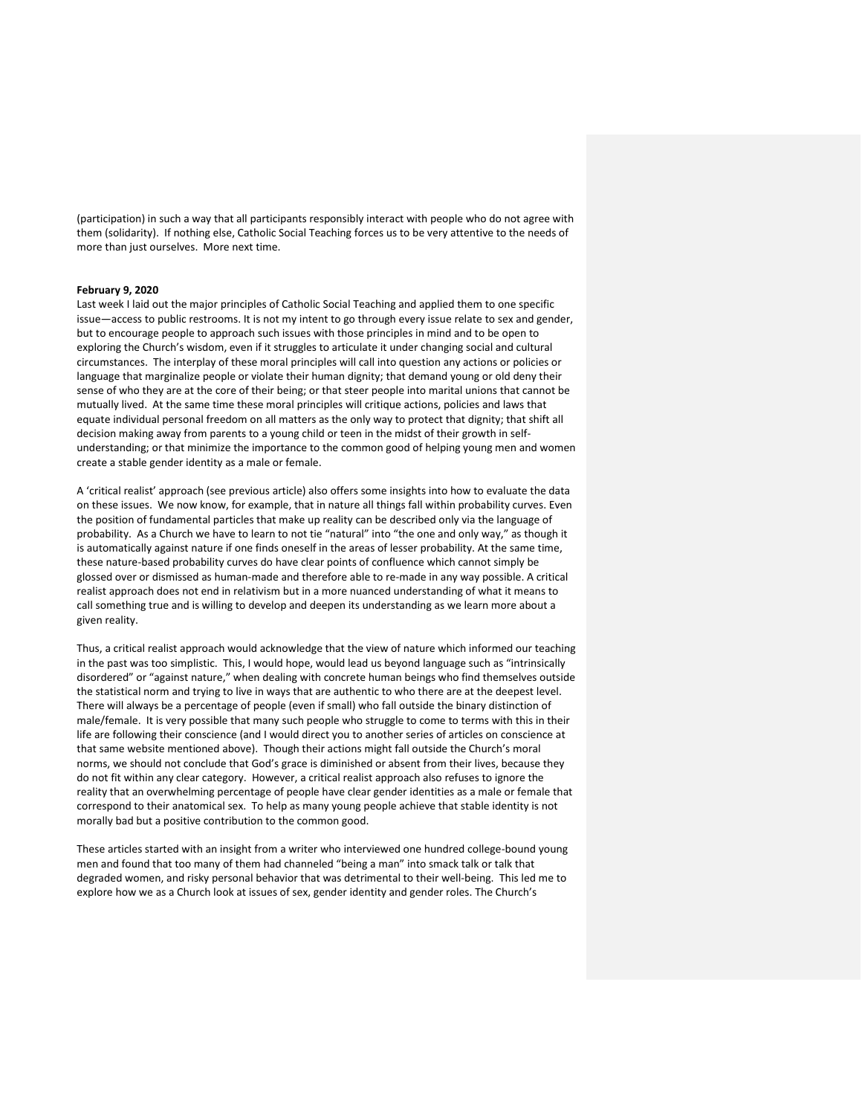(participation) in such a way that all participants responsibly interact with people who do not agree with them (solidarity). If nothing else, Catholic Social Teaching forces us to be very attentive to the needs of more than just ourselves. More next time.

## **February 9, 2020**

Last week I laid out the major principles of Catholic Social Teaching and applied them to one specific issue—access to public restrooms. It is not my intent to go through every issue relate to sex and gender, but to encourage people to approach such issues with those principles in mind and to be open to exploring the Church's wisdom, even if it struggles to articulate it under changing social and cultural circumstances. The interplay of these moral principles will call into question any actions or policies or language that marginalize people or violate their human dignity; that demand young or old deny their sense of who they are at the core of their being; or that steer people into marital unions that cannot be mutually lived. At the same time these moral principles will critique actions, policies and laws that equate individual personal freedom on all matters as the only way to protect that dignity; that shift all decision making away from parents to a young child or teen in the midst of their growth in selfunderstanding; or that minimize the importance to the common good of helping young men and women create a stable gender identity as a male or female.

A 'critical realist' approach (see previous article) also offers some insights into how to evaluate the data on these issues. We now know, for example, that in nature all things fall within probability curves. Even the position of fundamental particles that make up reality can be described only via the language of probability. As a Church we have to learn to not tie "natural" into "the one and only way," as though it is automatically against nature if one finds oneself in the areas of lesser probability. At the same time, these nature-based probability curves do have clear points of confluence which cannot simply be glossed over or dismissed as human-made and therefore able to re-made in any way possible. A critical realist approach does not end in relativism but in a more nuanced understanding of what it means to call something true and is willing to develop and deepen its understanding as we learn more about a given reality.

Thus, a critical realist approach would acknowledge that the view of nature which informed our teaching in the past was too simplistic. This, I would hope, would lead us beyond language such as "intrinsically disordered" or "against nature," when dealing with concrete human beings who find themselves outside the statistical norm and trying to live in ways that are authentic to who there are at the deepest level. There will always be a percentage of people (even if small) who fall outside the binary distinction of male/female. It is very possible that many such people who struggle to come to terms with this in their life are following their conscience (and I would direct you to another series of articles on conscience at that same website mentioned above). Though their actions might fall outside the Church's moral norms, we should not conclude that God's grace is diminished or absent from their lives, because they do not fit within any clear category. However, a critical realist approach also refuses to ignore the reality that an overwhelming percentage of people have clear gender identities as a male or female that correspond to their anatomical sex. To help as many young people achieve that stable identity is not morally bad but a positive contribution to the common good.

These articles started with an insight from a writer who interviewed one hundred college-bound young men and found that too many of them had channeled "being a man" into smack talk or talk that degraded women, and risky personal behavior that was detrimental to their well-being. This led me to explore how we as a Church look at issues of sex, gender identity and gender roles. The Church's